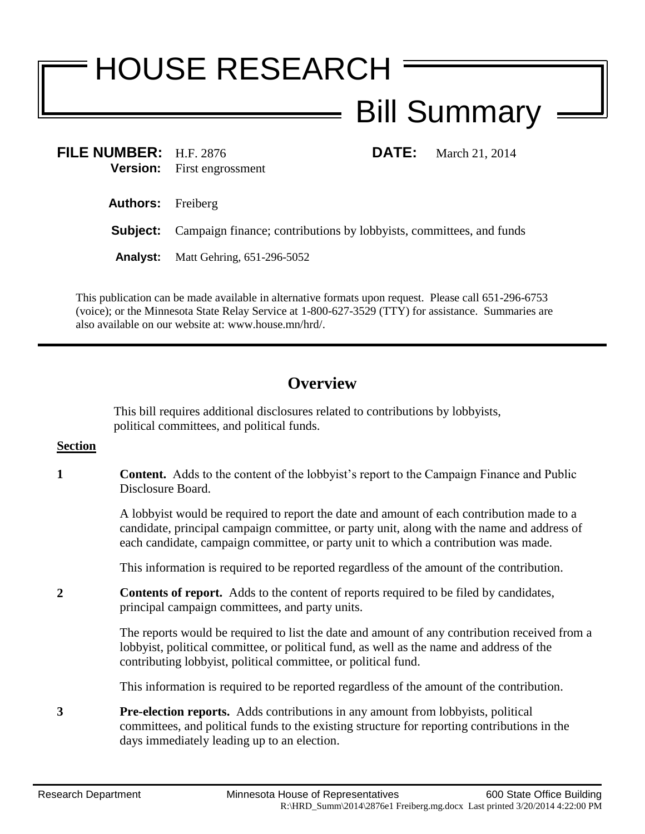## HOUSE RESEARCH Bill Summary

**FILE NUMBER:** H.F. 2876 **DATE:** March 21, 2014 **Version:** First engrossment

**Authors:** Freiberg

**Subject:** Campaign finance; contributions by lobbyists, committees, and funds

**Analyst:** Matt Gehring, 651-296-5052

This publication can be made available in alternative formats upon request. Please call 651-296-6753 (voice); or the Minnesota State Relay Service at 1-800-627-3529 (TTY) for assistance. Summaries are also available on our website at: www.house.mn/hrd/.

## **Overview**

This bill requires additional disclosures related to contributions by lobbyists, political committees, and political funds.

## **Section**

**1 Content.** Adds to the content of the lobbyist's report to the Campaign Finance and Public Disclosure Board.

> A lobbyist would be required to report the date and amount of each contribution made to a candidate, principal campaign committee, or party unit, along with the name and address of each candidate, campaign committee, or party unit to which a contribution was made.

This information is required to be reported regardless of the amount of the contribution.

**2 Contents of report.** Adds to the content of reports required to be filed by candidates, principal campaign committees, and party units.

> The reports would be required to list the date and amount of any contribution received from a lobbyist, political committee, or political fund, as well as the name and address of the contributing lobbyist, political committee, or political fund.

This information is required to be reported regardless of the amount of the contribution.

**3 Pre-election reports.** Adds contributions in any amount from lobbyists, political committees, and political funds to the existing structure for reporting contributions in the days immediately leading up to an election.